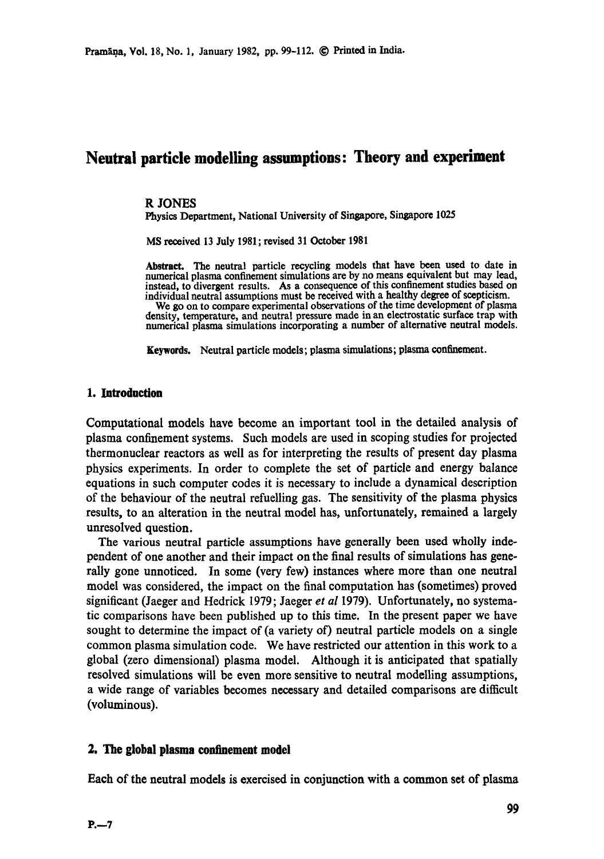# **Neutral particle modelling assumptions: Theory and experiment**

### **R** JONES

Physics Department, National University of Singapore, Singapore 1025

MS received 13 July 1981; revised 31 October 1981

Abstract. The neutral particle recycling models that have been used to date in numerical plasma confinement simulations are by no means equivalent but may lead, instead, to divergent results. As a consequence of this confinement studies based on individual neutral assumptions must be received with a healthy degree of scepticism.

We go on to compare experimental observations of the time development of plasma density, temperature, and neutral pressure made in an electrostatic surface trap with numerical plasma simulations incorporating a numoer of alternative neutral models.

Keywords. Neutral particle models; plasma simulations; plasma confinement.

### **1. Introduction**

Computational models have become an important tool in the detailed analysis of plasma confinement systems. Such models are used in scoping studies for projected thermonuclear reactors as well as for interpreting the results of present day plasma physics experiments. In order to complete the set of particle and energy balance equations in such computer codes it is necessary to include a dynamical description of the behaviour of the neutral refuelling gas. The sensitivity of the plasma physics results, to an alteration in the neutral model has, unfortunately, remained a largely unresolved question.

The various neutral particle assumptions have generally been used wholly independent of one another and their impact on the final results of simulations has generally gone unnoticed. In some (very few) instances where more than one neutral model was considered, the impact on the final computation has (sometimes) proved significant (Jaeger and Hcdrick 1979; Jaeger *et al* 1979). Unfortunately, no systematic comparisons have been published up to this time. In the present paper we have sought to determine the impact of (a variety of) neutral particle models on a single common plasma simulation code. We have restricted our attention in this work to a global (zero dimensional) plasma model. Although it is anticipated that spatially resolved simulations will be even more sensitive to neutral modelling assumptions, a wide range of variables becomes necessary and detailed comparisons are difficult (voluminous).

### **2. The global plasma confinement model**

**Each of the neutral models is exercised in conjunction with a common set of plasma**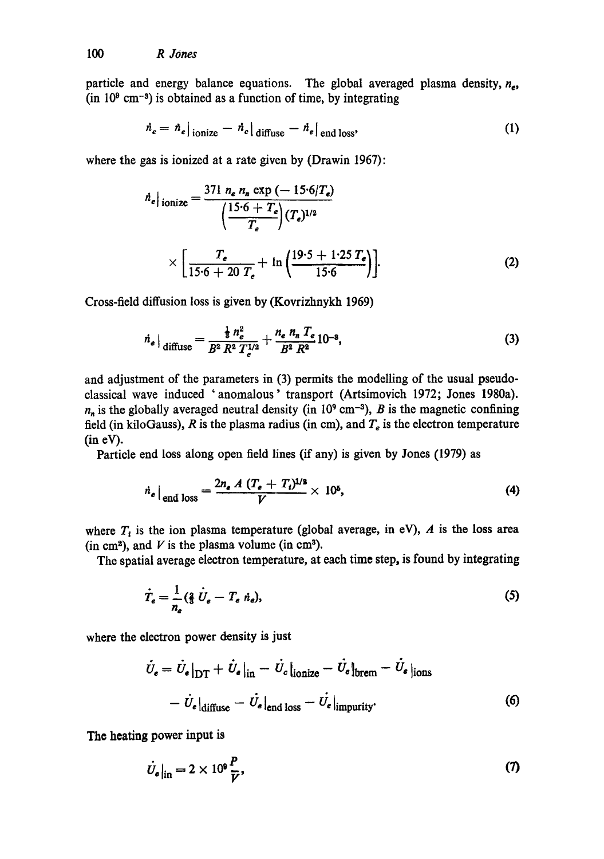particle and energy balance equations. The global averaged plasma density,  $n_e$ , (in  $10^9$  cm<sup>-3</sup>) is obtained as a function of time, by integrating

$$
\dot{n}_e = h_e|_{\text{ionic}} - \dot{n}_e|_{\text{diffuse}} - \dot{n}_e|_{\text{end loss}},\tag{1}
$$

where the gas is ionized at a rate given by (Drawin 1967):

$$
\dot{n}_e|_{\text{ionize}} = \frac{371 n_e n_n \exp(-15.6/T_e)}{\left(\frac{15.6 + T_e}{T_e}\right) (T_e)^{1/2}} \times \left[\frac{T_e}{15.6 + 20 T_e} + \ln\left(\frac{19.5 + 1.25 T_e}{15.6}\right)\right].
$$
\n(2)

Cross-field diffusion loss is given by (Kovrizhnykh 1969)

$$
\dot{n}_e|_{\text{diffuse}} = \frac{\frac{1}{3}n_e^2}{B^2 R^2 T_e^{1/2}} + \frac{n_e n_n T_e}{B^2 R^2} 10^{-3},\tag{3}
$$

and adjustment of the parameters in (3) permits the modelling of the usual pseudoclassical wave induced 'anomalous' transport (Artsimovich 1972; Jones 1980a).  $n_n$  is the globally averaged neutral density (in 10<sup>9</sup> cm<sup>-3</sup>), B is the magnetic confining field (in kiloGauss), R is the plasma radius (in cm), and  $T_e$  is the electron temperature **(in eV).** 

Particle end loss along open field lines (if any) is given by Jones (1979) as

$$
\dot{n}_e\big|_{\text{end loss}} = \frac{2n_e A (T_e + T_i)^{1/2}}{V} \times 10^5,
$$
 (4)

where  $T_i$  is the ion plasma temperature (global average, in eV),  $A$  is the loss area (in cm<sup>2</sup>), and  $V$  is the plasma volume (in cm<sup>3</sup>).

The spatial average electron temperature, at each time step, is found by integrating

$$
\dot{T}_e = \frac{1}{n_e} \left(\frac{2}{3} \dot{U}_e - T_e \dot{n}_e\right),\tag{5}
$$

where the electron power density is just

$$
\dot{U}_e = \dot{U}_e|_{\text{DT}} + \dot{U}_e|_{\text{in}} - \dot{U}_e|_{\text{ionize}} - \dot{U}_e|_{\text{brem}} - \dot{U}_e|_{\text{ions}}
$$

$$
-\dot{U}_e|_{\text{diffuse}} - \dot{U}_e|_{\text{end loss}} - \dot{U}_e|_{\text{impurity}}.
$$
(6)

The heating power input is

$$
\dot{U}_e|_{\text{in}} = 2 \times 10^9 \frac{P}{\bar{V}},\tag{7}
$$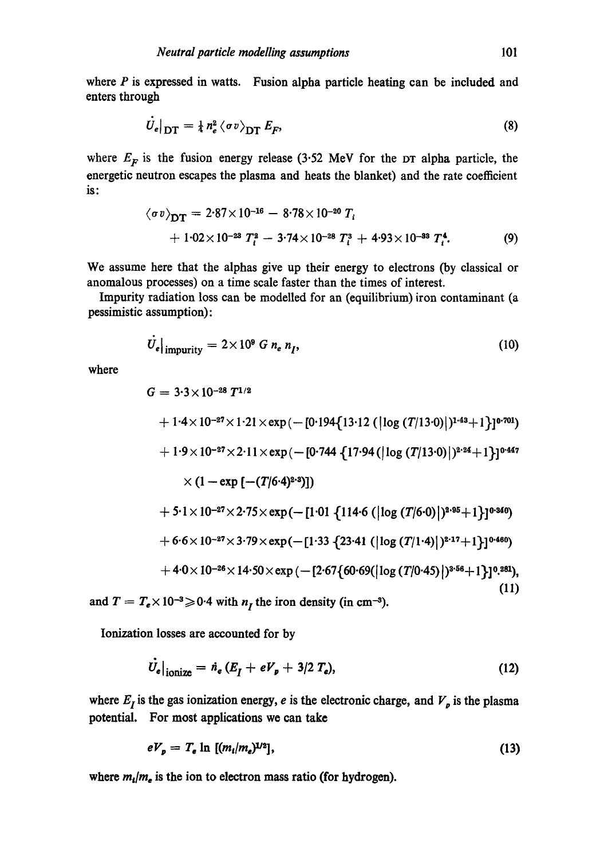where  $P$  is expressed in watts. Fusion alpha particle heating can be included and enters through

$$
U_e|_{\text{DT}} = \frac{1}{4} n_e^2 \langle \sigma v \rangle_{\text{DT}} E_F,
$$
\n(8)

where  $E_F$  is the fusion energy release (3.52 MeV for the DT alpha particle, the energetic neutron escapes the plasma and heats the blanket) and the rate coefficient is:

$$
\langle \sigma v \rangle_{\text{DT}} = 2.87 \times 10^{-16} - 8.78 \times 10^{-20} T_i
$$
  
+ 1.02 × 10<sup>-23</sup> T<sub>i</sub><sup>2</sup> - 3.74 × 10<sup>-28</sup> T<sub>i</sub><sup>3</sup> + 4.93 × 10<sup>-33</sup> T<sub>i</sub><sup>4</sup>. (9)

We assume here that the alphas give up their energy to electrons (by classical or anomalous processes) on a time scale faster than the times of interest.

Impurity radiation loss can be modelled for an (equilibrium) iron contaminant (a pessimistic assumption):

$$
\dot{U}_e|_{\text{impurity}} = 2 \times 10^9 \ G \ n_e \ n_I,
$$
\n(10)

where

$$
G = 3.3 \times 10^{-28} T^{1/2}
$$
  
+ 1.4×10<sup>-27</sup>×1.21×exp(-[0.194{13.12 (|log (T/13.0)|)^{1.43}+1}]0.701)  
+ 1.9×10<sup>-27</sup>×2.11×exp(-[0.744 {17.94 (|log (T/13.0)|)^{2.24}+1}]0.447  
×(1-exp[-(T/6.4)^{2.9})])  
+ 5.1×10<sup>-27</sup>×2.75×exp(-[1.01 {114.6 (|log (T/6.0)|)^{2.95}+1}]0.340)  
+ 6.6×10<sup>-27</sup>×3.79×exp(-[1.33 {23.41 (|log (T/1.4)|)^{2.17}+1}]0.460)  
+ 4.0×10<sup>-26</sup>×14.50×exp(-[2.67{60.69(|log (T/0.45)|)^{3.56}+1}]0.281), (11)

and  $T = T_e \times 10^{-3} \ge 0.4$  with  $n_I$  the iron density (in cm<sup>-3</sup>).

Ionization losses are accounted for by

$$
\dot{U}_e|_{\text{ionize}} = \dot{n}_e (E_I + eV_p + 3/2 T_e), \qquad (12)
$$

where  $E<sub>I</sub>$  is the gas ionization energy, e is the electronic charge, and  $V<sub>p</sub>$  is the plasma potential. For most applications we can take

$$
eV_p = T_e \ln \left[ (m_i/m_e)^{1/2} \right], \tag{13}
$$

where  $m_i/m_e$  is the ion to electron mass ratio (for hydrogen).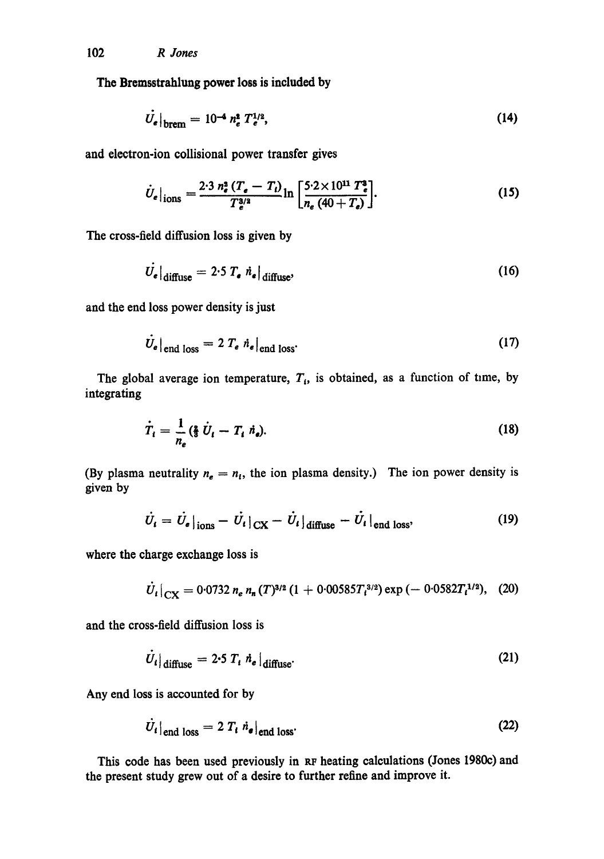The Bremsstrahlung power **loss is** included by

$$
\dot{U}_e|_{\text{brem}} = 10^{-4} n_e^2 T_e^{1/2},\tag{14}
$$

and electron-ion collisional power transfer gives

$$
\dot{U}_e|_{\text{ions}} = \frac{2.3 n_e^2 (T_e - T_i)}{T_e^{3/2}} \ln \left[ \frac{5.2 \times 10^{11} T_e^2}{n_e (40 + T_e)} \right]. \tag{15}
$$

The cross-field diffusion loss is given by

$$
\dot{U}_e|_{\text{diffuse}} = 2.5 T_e \dot{n}_e|_{\text{diffuse}}, \tag{16}
$$

and the end loss power density is just

 $\Delta$ 

$$
\dot{U}_e|_{\text{end loss}} = 2 T_e \dot{n}_e|_{\text{end loss}}.
$$
 (17)

The global average ion temperature,  $T_i$ , is obtained, as a function of time, by integrating

$$
\dot{T}_t = \frac{1}{n_e} (\frac{3}{3} \dot{U}_t - T_t \dot{n}_e). \tag{18}
$$

(By plasma neutrality  $n_e = n_i$ , the ion plasma density.) The ion power density is given by

$$
\dot{U}_t = \dot{U}_e|_{\text{ions}} - \dot{U}_t|_{\text{CX}} - \dot{U}_t|_{\text{diffuse}} - \dot{U}_t|_{\text{end loss}},\tag{19}
$$

where the charge exchange loss is

$$
\dot{U}_t|_{\text{CX}} = 0.0732 n_e n_n (T)^{3/2} (1 + 0.00585 T_i^{3/2}) \exp(-0.0582 T_i^{1/2}), \quad (20)
$$

and the cross-field diffusion loss is

$$
\dot{U}_t|_{\text{diffuse}} = 2.5 T_t \dot{n}_e|_{\text{diffuse}}.
$$
 (21)

Any end loss is accounted for by

$$
U_t|_{\text{end loss}} = 2 T_t \dot{n}_e|_{\text{end loss}}.
$$
 (22)

This code has been used previously in RF heating calculations (Jones 1980c) and the present study grew out of a desire to further refine and improve it.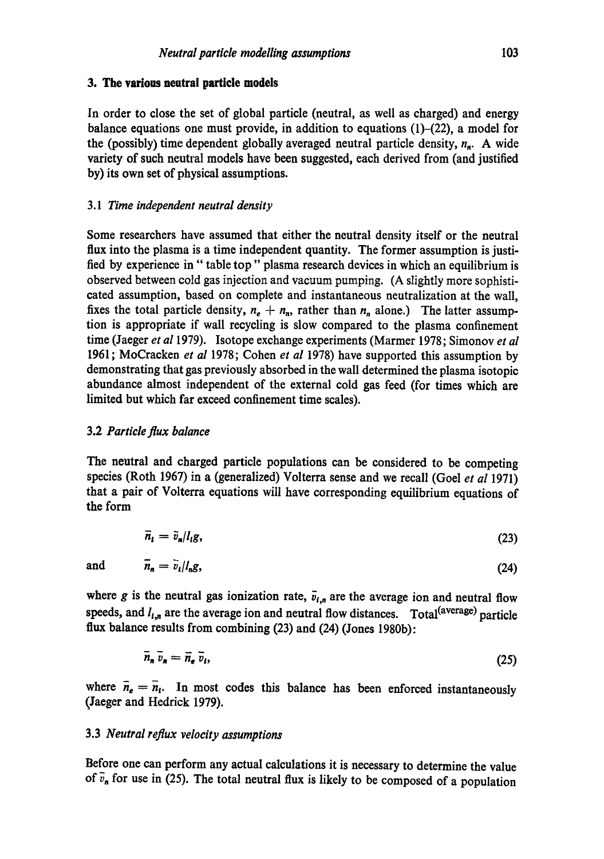## **3. The various neutral particle models**

In order to close the set of global particle (neutral, as well as charged) and energy balance equations one must provide, in addition to equations  $(1)-(22)$ , a model for the (possibly) time dependent globally averaged neutral particle density,  $n_n$ . A wide variety of such neutral models have been suggested, each derived from (and justified by) its own set of physical assumptions.

# *3.1 Time independent neutral density*

Some researchers have assumed that either the neutral density itself or the neutral flux into the plasma is a time independent quantity. The former assumption is justified by experience in" table top" plasma research devices in which an equilibrium is observed between cold gas injection and vacuum pumping. (A slightly more sophisticated assumption, based on complete and instantaneous neutralization at the wail, fixes the total particle density,  $n_e + n_n$ , rather than  $n_n$  alone.) The latter assumption is appropriate if wall recycling is slow compared to the plasma confinement time (Jaeger *et a11979).* Isotope exchange experiments (Marmer 1978; Simonov *et al*  1961 ; MoCracken *et al* 1978; Cohen *et al* 1978) have supported this assumption by demonstrating that gas previously absorbed in the wall determined the plasma isotopic abundance almost independent of the external cold gas feed (for times which are limited but which far exceed confinement time scales).

# 3.2 *Particle flux balance*

The neutral and charged particle populations can be considered to be competing species (Roth 1967) in a (generalized) Volterra sense and we recall (Goel *et al* 1971) that a pair of Volterra equations will have corresponding equilibrium equations of the form

$$
\bar{n}_i = \bar{v}_n / l_i g,\tag{23}
$$

**and**  $\bar{n}_n = \bar{v}_i / l_n g$ , (24)

where g is the neutral gas ionization rate,  $\bar{v}_{i,n}$  are the average ion and neutral flow speeds, and  $l_{i,n}$  are the average ion and neutral flow distances. Total (average) particle flux balance results from combining (23) and (24) (Jones 1980b):

$$
\overline{n}_n \overline{v}_n = \overline{n}_e \overline{v}_i, \tag{25}
$$

where  $\bar{n}_e = \bar{n}_i$ . In most codes this balance has been enforced instantaneously (Jaeger and Hedrick 1979).

# 3.3 *Neutral reflux velocity assumptions*

Before one can perform any actual calculations it is necessary to determine the value of  $\bar{v}_n$  for use in (25). The total neutral flux is likely to be composed of a population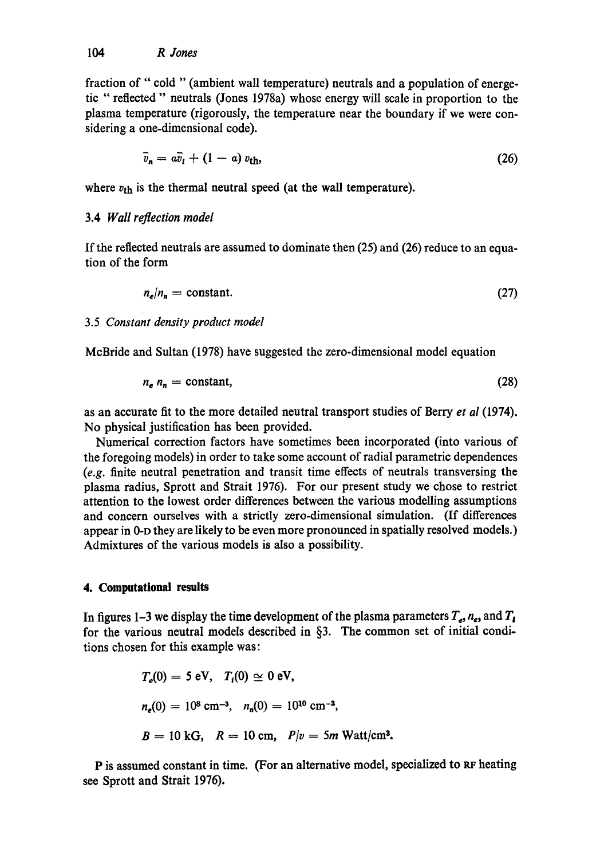fraction of "cold "(ambient wall temperature) neutrals and a population of energetic "reflected" neutrals (Jones 1978a) whose energy will scale in proportion to the plasma temperature (rigorously, the temperature near the boundary if we were considering a one-dimensional code).

$$
\bar{v}_n = a\bar{v}_l + (1 - a)v_{\text{th}},\tag{26}
$$

where  $v_{\text{th}}$  is the thermal neutral speed (at the wall temperature).

## 3.4 *Wall reflection model*

If the reflected neutrals are assumed to dominate then (25) and (26) reduce to an equation of the form

$$
n_e/n_n = \text{constant.} \tag{27}
$$

## 3.5 *Constant density product model*

McBride and Sultan (1978) have suggested the zero-dimensional model equation

$$
n_e n_n = \text{constant},\tag{28}
$$

as an accurate fit to the more detailed neutral transport studies of Berry *et al* (1974). No physical justification has been provided.

Numerical correction factors have sometimes been incorporated (into various of the foregoing models) in order to take some account of radial parametric dependences *(e.g.* finite neutral penetration and transit time effects of neutrals transversing the plasma radius, Sprott and Strait 1976). For our present study we chose to restrict attention to the lowest order differences between the various modelling assumptions and concern ourselves with a strictly zero-dimensional simulation. (If differences appear in 0-D they are likely to be even more pronounced in spatially resolved models.) Admixtures of the various models is also a possibility.

## **4. Computational results**

In figures 1–3 we display the time development of the plasma parameters  $T_e$ ,  $n_e$ , and  $T_i$ for the various neutral models described in §3. The common set of initial conditions chosen for this example was:

$$
T_e(0) = 5 \text{ eV}, T_i(0) \approx 0 \text{ eV},
$$
  
\n $n_e(0) = 10^8 \text{ cm}^{-3}, n_n(0) = 10^{10} \text{ cm}^{-3},$   
\n $B = 10 \text{ kG}, R = 10 \text{ cm}, P/v = 5m \text{ Watt/cm}^3.$ 

P is assumed constant in time. (For an alternative model, specialized to RF heating see Sprott and Strait 1976).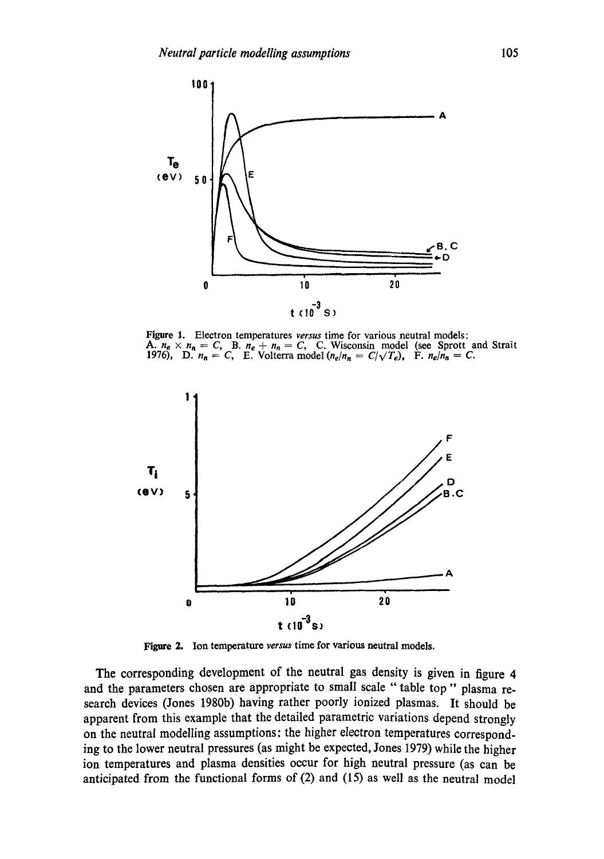

Figure 1. Electron temperatures *versus* time for various neutral models: **A.**  $n_e \times n_n = C$ , **B.**  $n_e + n_n = C$ , **C.** Wisconsin model (see Sprott and Strait 1976), D.  $n_n = C$ , E. Volterra model  $(n_e/n_n = C/\sqrt{T_e})$ , F.  $n_e/n_n = C$ .



Figure 2. Ion temperature *versus* time for various neutral models.

The corresponding development of the neutral gas density is given in figure 4 and the parameters chosen are appropriate to small scale "table top" plasma research devices (Jones 1980b) having rather poorly ionized plasmas. It should be apparent from this example that the detailed parametric variations depend strongly on the neutral modelling assumptions: the higher electron temperatures corresponding to the lower neutral pressures (as might be expected, Jones 1979) while the higher ion temperatures and plasma densities occur for high neutral pressure (as can be anticipated from the functional forms of (2) and (15) as well as the neutral model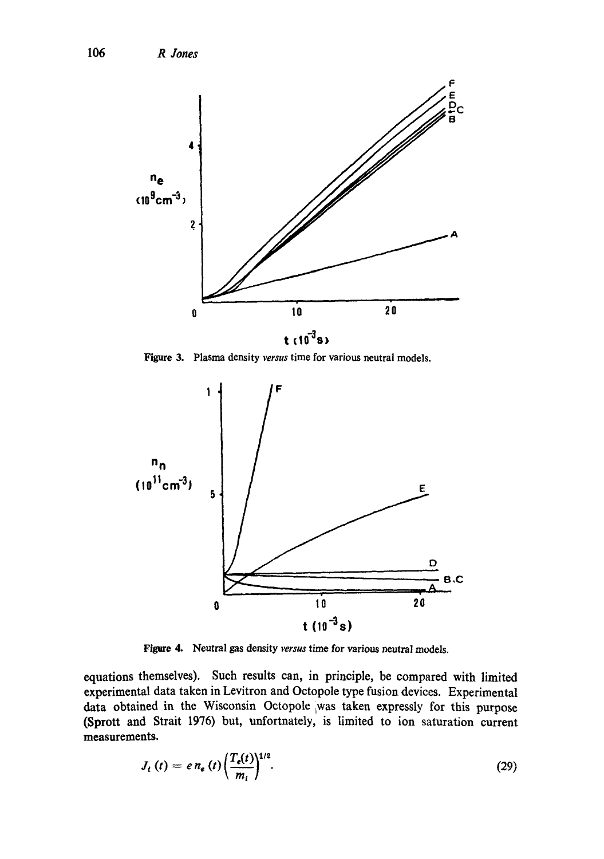

Figure 3. Plasma density *versus* time for various neutral models.



Figure 4. Neutral gas density *versus* time for various neutral models.

equations themselves). Such results can, in principle, be compared with limited experimental data taken in Levitron and Octopole type fusion devices. Experimental data obtained in the Wisconsin Octopole was taken expressly for this purpose (Sprott and Strait 1976) but, unfortnately, is limited to ion saturation current measurements.

$$
J_{t}(t) = e n_{e}(t) \left(\frac{T_{e}(t)}{m_{i}}\right)^{1/2}.
$$
 (29)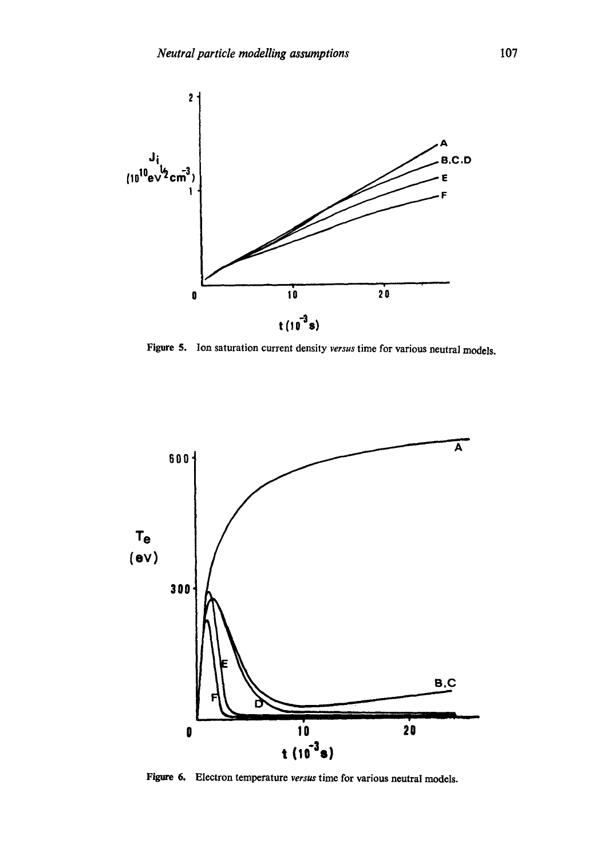

Figure 5. Ion saturation current density *versus* time for various neutral models.



Figure 6. Electron temperature *versus* time for various neutral models.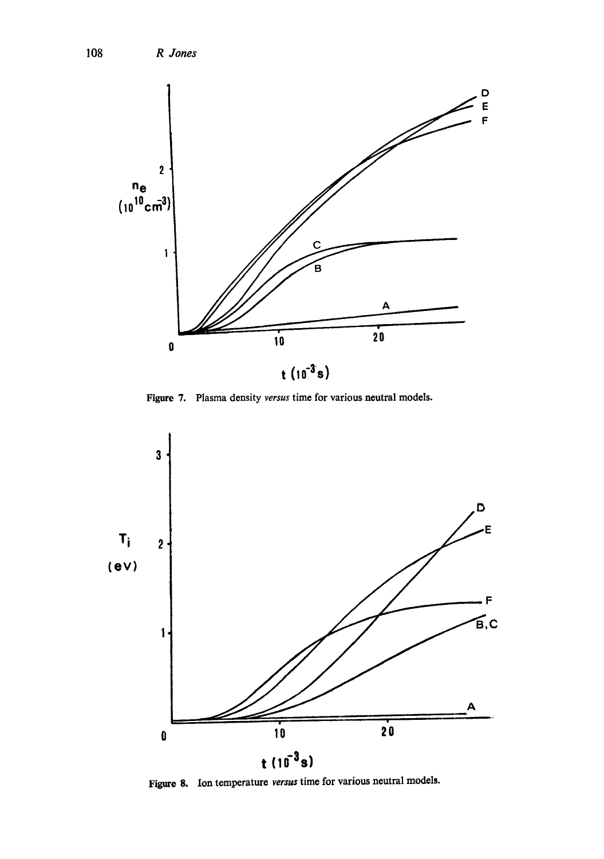

Figure 7. Plasma density *versus* time for various neutral models.



Figure 8. Ion temperature *versus* time for various neutral models.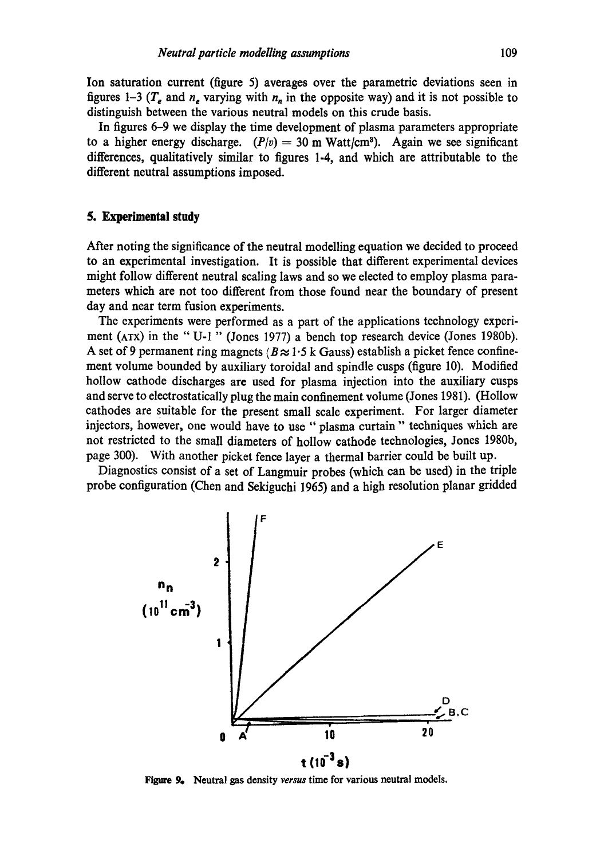Ion saturation current (figure 5) averages over the parametric deviations seen in figures 1-3 ( $T_e$  and  $n_e$  varying with  $n_n$  in the opposite way) and it is not possible to distinguish between the various neutral models on this crude basis.

In figures 6-9 we display the time development of plasma parameters appropriate to a higher energy discharge.  $(P/v) = 30$  m Watt/cm<sup>3</sup>). Again we see significant differences, qualitatively similar to figures 1-4, and which are attributable to the different neutral assumptions imposed.

### **5. Experimental study**

After noting the significance of the neutral modelling equation we decided to proceed to an experimental investigation. It is possible that different experimental devices might follow different neutral scaling laws and so we elected to employ plasma parameters which are not too different from those found near the boundary of present day and near term fusion experiments.

The experiments were performed as a part of the applications technology experiment (ArX) in the "U-1 " (Jones 1977) a bench top research device (Jones 1980b). A set of 9 permanent ring magnets ( $B \approx 1.5$  k Gauss) establish a picket fence confinement volume bounded by auxiliary toroidal and spindle cusps (figure 10). Modified hollow cathode discharges are used for plasma injection into the auxiliary cusps and serve to electrostatically plug the main confinement volume (Jones 1981). (Hollow cathodes are suitable for the present small scale experiment. For larger diameter injectors, however, one would have to use "plasma curtain" techniques which are not restricted to the small diameters of hollow cathode technologies, Jones 1980b, page 300). With another picket fence layer a thermal barrier could be built up.

Diagnostics consist of a set of Langmuir probes (which can be used) in the triple probe configuration (Chen and Sekiguchi 1965) and a high resolution planar gridded



Figure 9. Neutral gas density *versus* time for various neutral models.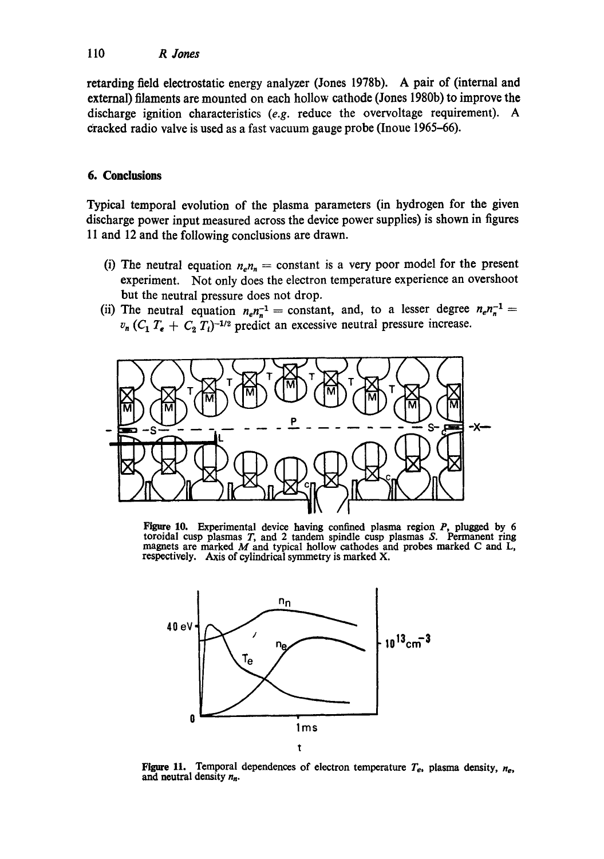retarding field electrostatic energy analyzer (Jones 1978b). A pair of (internal and external) filaments are mounted on each hollow cathode (Jones 1980b) to improve the discharge ignition characteristics *(e.g.* reduce the overvoltage requirement). A Cracked radio valve is used as a fast vacuum gauge probe (Inoue 1965-66).

# **6. Conclusions**

Typical temporal evolution of the plasma parameters (in hydrogen for the given discharge power input measured across the device power supplies) is shown in figures 11 and 12 and the following conclusions are drawn.

- (i) The neutral equation  $n_e n_n = \text{constant}$  is a very poor model for the present experiment. Not only does the electron temperature experience an overshoot but the neutral pressure does not drop.
- (ii) The neutral equation  $n_e n_n^{-1}$  = constant, and, to a lesser degree  $n_e n_n^{-1}$  =  $v_n$  ( $C_1$   $T_e$  +  $C_2$   $T_i$ )<sup>-1/2</sup> predict an excessive neutral pressure increase.



Figure 10. Experimental device having confined plasma region  $P<sub>1</sub>$  plugged by 6 toroidal cusp plasmas T, and 2 tandem spindle cusp plasmas S. Permanent ring magnets are marked  $M$  and typical hollow cathodes and probes marked C and  $L$ , respectively. Axis of cylindrical symmetry is marked X.



Figure 11. Temporal dependences of electron temperature  $T_e$ , plasma density,  $n_e$ , and neutral density *nn.*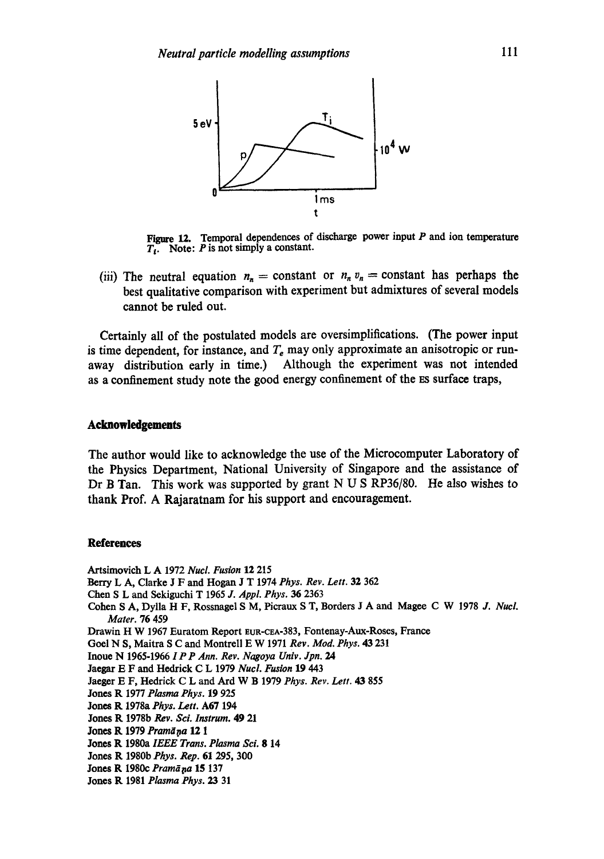

**Figure** 12. Temporal **dependences of discharge power** input P and **ion temperature**  T,. Note: P is not simply a **constant.** 

(iii) The neutral equation  $n_n = \text{constant}$  or  $n_n v_n = \text{constant}$  has perhaps the best qualitative comparison with experiment but admixtures of several models **cannot** be ruled out.

**Certainly all of the postulated models are oversimplifications. (The power input**  is time dependent, for instance, and  $T<sub>e</sub>$  may only approximate an anisotropic or run**away distribution early in time.) Although the experiment was not intended**  as a confinement study note the good energy confinement of the ES surface traps,

## **Acknowledgments**

**The author would like to acknowledge the use of the Microcomputer Laboratory of the Physics Department, National University of Singapore and the assistance of Dr B Tan. This work was supported by grant N U S RP36/80. He also wishes to thank Prof. A Rajaratnam for his support and encouragement.** 

#### **References**

Artsimovich L A 1972 *Nucl. Fusion* 12 215

Berry L A, Clarke J F and Hogan J T 1974 *Phys. Rev. Lett.* 32 362

(=hen S L and Sekiguchi T 1965 *J. Appl. Phys. 36* 2363

**Cohen** S A, Dylla H F, Rossnagel S M, Picraux S T, Borders J A and Magee C W 1978 *J. Nucl. Mater.* 76 459

Drawin H W 1967 Euratom Report EUR-CEA-383, Fontenay-Aux-Roses, France

Goel N S, Maitra S C and Montrell E W 1971 *Rev. Mod. Phys. 43* 231

**Inoue** N 1965-1966 *1 P P Ann. Rev. Nagoya Univ. Jpn. 24* 

Jaegax E F and Hedrick C L 1979 *Nucl. Fusion* 19 443

Jaeger E F, Hedrick C L and Ard W B 1979 *Phys. Rev. Lett. 43* 855

**Jones** R 1977 *Plasma Phys.* 19 925

**Jones R**  1978a *Phys. Lett.* A67 194

**Jones R**  1978b *Rev. Sci. Iustrum.* 49 21

**Jones R 1979** *Pramā* **ņa 12 1** 

**Jones R**  1980a *IEEE Trans. Plasma ScL* 8 14

**Jones R**  1980b *Phys. Rep.* 61 295, 300

- **Jones R**  1980c *Pram~pa* 15 137
- **Jones R**  1981 *Plasma Phys. 23* 31